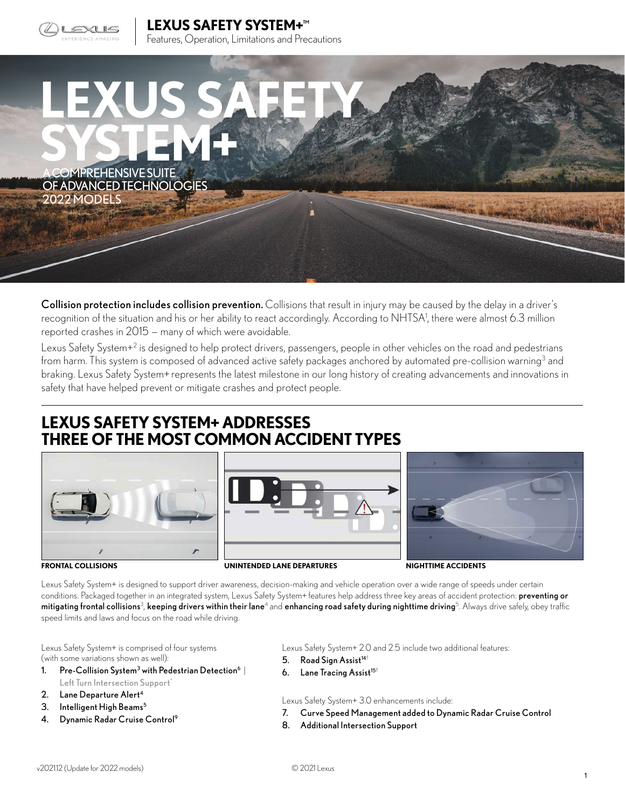

**LEXUS SAFETY SYSTEM+™**  Features, Operation, Limitations and Precautions



Collision protection includes collision prevention. Collisions that result in injury may be caused by the delay in a driver's recognition of the situation and his or her ability to react accordingly. According to NHTSA1, there were almost 6.3 million reported crashes in 2015 — many of which were avoidable.

Lexus Safety System+<sup>2</sup> is designed to help protect drivers, passengers, people in other vehicles on the road and pedestrians from harm. This system is composed of advanced active safety packages anchored by automated pre-collision warning<sup>3</sup> and braking. Lexus Safety System+ represents the latest milestone in our long history of creating advancements and innovations in safety that have helped prevent or mitigate crashes and protect people.

## **LEXUS SAFETY SYSTEM+ ADDRESSES THREE OF THE MOST COMMON ACCIDENT TYPES**







**FRONTAL COLLISIONS UNINTENDED LANE DEPARTURES NIGHTTIME ACCIDENTS**

Lexus Safety System+ is designed to support driver awareness, decision-making and vehicle operation over a wide range of speeds under certain conditions. Packaged together in an integrated system, Lexus Safety System+ features help address three key areas of accident protection: preventing or **mitigating frontal collisions** $^3$ **, keeping drivers within their lane**4 and **enhancing road safety during nighttime driving**<sup>5</sup>. Always drive safely, obey traffic speed limits and laws and focus on the road while driving.

Lexus Safety System+ is comprised of four systems (with some variations shown as well):

- 1. Pre-Collision System<sup>3</sup> with Pedestrian Detection<sup>6</sup> | Left Turn Intersection Support<sup>\*</sup>
- 2. Lane Departure Alert<sup>4</sup>
- 3. Intelligent High Beams<sup>5</sup>
- 4. Dynamic Radar Cruise Control<sup>9</sup>

Lexus Safety System+ 2.0 and 2.5 include two additional features:

- 5. Road Sign Assist $14^+$
- 6. Lane Tracing Assist<sup>15+</sup>

Lexus Safety System+ 3.0 enhancements include:

- 7. Curve Speed Management added to Dynamic Radar Cruise Control
- 8. Additional Intersection Support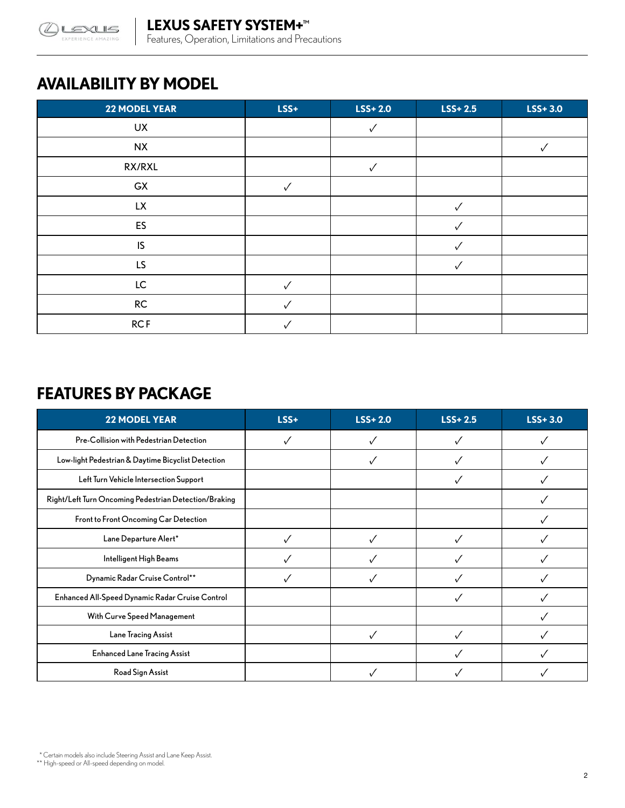

# **AVAILABILITY BY MODEL**

| <b>22 MODEL YEAR</b> | LSS+         | $LSS+2.0$    | $LSS+2.5$ | $LSS+3.0$ |
|----------------------|--------------|--------------|-----------|-----------|
| UX                   |              |              |           |           |
| <b>NX</b>            |              |              |           |           |
| RX/RXL               |              | $\checkmark$ |           |           |
| GX                   | $\checkmark$ |              |           |           |
| <b>LX</b>            |              |              | ✓         |           |
| ES                   |              |              |           |           |
| IS                   |              |              |           |           |
| LS.                  |              |              |           |           |
| LC                   |              |              |           |           |
| $\mathsf{RC}$        |              |              |           |           |
| <b>RCF</b>           |              |              |           |           |

## **FEATURES BY PACKAGE**

| <b>22 MODEL YEAR</b>                                  | $LSS+$ | $LSS+2.0$ | $LSS+2.5$ | $LSS+3.0$ |
|-------------------------------------------------------|--------|-----------|-----------|-----------|
| Pre-Collision with Pedestrian Detection               |        |           |           |           |
| Low-light Pedestrian & Daytime Bicyclist Detection    |        |           |           |           |
| Left Turn Vehicle Intersection Support                |        |           |           |           |
| Right/Left Turn Oncoming Pedestrian Detection/Braking |        |           |           |           |
| Front to Front Oncoming Car Detection                 |        |           |           |           |
| Lane Departure Alert*                                 |        |           |           |           |
| Intelligent High Beams                                |        |           |           |           |
| Dynamic Radar Cruise Control**                        |        |           |           |           |
| Enhanced All-Speed Dynamic Radar Cruise Control       |        |           |           |           |
| With Curve Speed Management                           |        |           |           |           |
| Lane Tracing Assist                                   |        |           |           |           |
| <b>Enhanced Lane Tracing Assist</b>                   |        |           |           |           |
| Road Sign Assist                                      |        |           |           |           |

 <sup>\*</sup> Certain models also include Steering Assist and Lane Keep Assist.

<sup>\*\*</sup> High-speed or All-speed depending on model.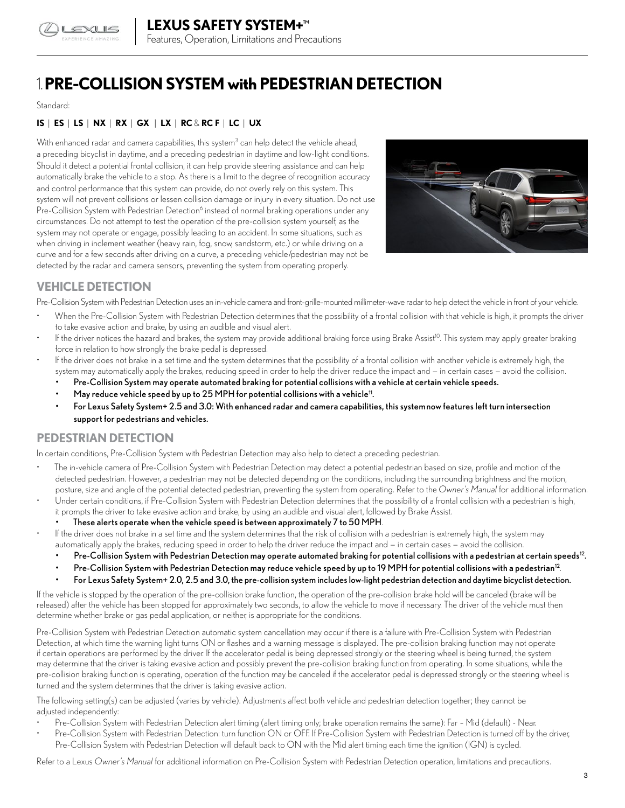

# 1.**PRE-COLLISION SYSTEM with PEDESTRIAN DETECTION**

#### Standard:

## **IS** | **ES** | **LS** | **NX** | **RX** | **GX** | **LX** | **RC** & **RC F** | **LC** | **UX**

With enhanced radar and camera capabilities, this system<sup>3</sup> can help detect the vehicle ahead, a preceding bicyclist in daytime, and a preceding pedestrian in daytime and low-light conditions. Should it detect a potential frontal collision, it can help provide steering assistance and can help automatically brake the vehicle to a stop. As there is a limit to the degree of recognition accuracy and control performance that this system can provide, do not overly rely on this system. This system will not prevent collisions or lessen collision damage or injury in every situation. Do not use Pre-Collision System with Pedestrian Detection<sup>6</sup> instead of normal braking operations under any circumstances. Do not attempt to test the operation of the pre-collision system yourself, as the system may not operate or engage, possibly leading to an accident. In some situations, such as when driving in inclement weather (heavy rain, fog, snow, sandstorm, etc.) or while driving on a curve and for a few seconds after driving on a curve, a preceding vehicle/pedestrian may not be detected by the radar and camera sensors, preventing the system from operating properly.



## **VEHICLE DETECTION**

Pre-Collision System with Pedestrian Detection uses an in-vehicle camera and front-grille-mounted millimeter-wave radar to help detect the vehicle in front of your vehicle.

- When the Pre-Collision System with Pedestrian Detection determines that the possibility of a frontal collision with that vehicle is high, it prompts the driver to take evasive action and brake, by using an audible and visual alert.
- If the driver notices the hazard and brakes, the system may provide additional braking force using Brake Assist<sup>10</sup>. This system may apply greater braking force in relation to how strongly the brake pedal is depressed.
- If the driver does not brake in a set time and the system determines that the possibility of a frontal collision with another vehicle is extremely high, the system may automatically apply the brakes, reducing speed in order to help the driver reduce the impact and — in certain cases — avoid the collision.
	- Pre-Collision System may operate automated braking for potential collisions with a vehicle at certain vehicle speeds.
	- May reduce vehicle speed by up to  $25$  MPH for potential collisions with a vehicle<sup>11</sup>.
	- For Lexus Safety System+ 2.5 and 3.0: With enhanced radar and camera capabilities, this systemnow features left turn intersection support for pedestrians and vehicles.

## **PEDESTRIAN DETECTION**

In certain conditions, Pre-Collision System with Pedestrian Detection may also help to detect a preceding pedestrian.

- The in-vehicle camera of Pre-Collision System with Pedestrian Detection may detect a potential pedestrian based on size, profile and motion of the detected pedestrian. However, a pedestrian may not be detected depending on the conditions, including the surrounding brightness and the motion, posture, size and angle of the potential detected pedestrian, preventing the system from operating. Refer to the *Owner's Manual* for additional information.
- Under certain conditions, if Pre-Collision System with Pedestrian Detection determines that the possibility of a frontal collision with a pedestrian is high, it prompts the driver to take evasive action and brake, by using an audible and visual alert, followed by Brake Assist.
	- These alerts operate when the vehicle speed is between approximately 7 to 50 MPH.
- If the driver does not brake in a set time and the system determines that the risk of collision with a pedestrian is extremely high, the system may automatically apply the brakes, reducing speed in order to help the driver reduce the impact and — in certain cases — avoid the collision.
	- Pre-Collision System with Pedestrian Detection may operate automated braking for potential collisions with a pedestrian at certain speeds<sup>12</sup>.
	- Pre-Collision System with Pedestrian Detection may reduce vehicle speed by up to 19 MPH for potential collisions with a pedestrian<sup>12</sup>.
	- For Lexus Safety System+ 2.0, 2.5 and 3.0, the pre-collision system includes low-light pedestrian detection and daytime bicyclist detection.

If the vehicle is stopped by the operation of the pre-collision brake function, the operation of the pre-collision brake hold will be canceled (brake will be released) after the vehicle has been stopped for approximately two seconds, to allow the vehicle to move if necessary. The driver of the vehicle must then determine whether brake or gas pedal application, or neither, is appropriate for the conditions.

Pre-Collision System with Pedestrian Detection automatic system cancellation may occur if there is a failure with Pre-Collision System with Pedestrian Detection, at which time the warning light turns ON or flashes and a warning message is displayed. The pre-collision braking function may not operate if certain operations are performed by the driver. If the accelerator pedal is being depressed strongly or the steering wheel is being turned, the system may determine that the driver is taking evasive action and possibly prevent the pre-collision braking function from operating. In some situations, while the pre-collision braking function is operating, operation of the function may be canceled if the accelerator pedal is depressed strongly or the steering wheel is turned and the system determines that the driver is taking evasive action.

The following setting(s) can be adjusted (varies by vehicle). Adjustments affect both vehicle and pedestrian detection together; they cannot be adjusted independently:

- Pre-Collision System with Pedestrian Detection alert timing (alert timing only; brake operation remains the same): Far Mid (default) Near.
- Pre-Collision System with Pedestrian Detection: turn function ON or OFF. If Pre-Collision System with Pedestrian Detection is turned off by the driver, Pre-Collision System with Pedestrian Detection will default back to ON with the Mid alert timing each time the ignition (IGN) is cycled.

Refer to a Lexus *Owner's Manual* for additional information on Pre-Collision System with Pedestrian Detection operation, limitations and precautions.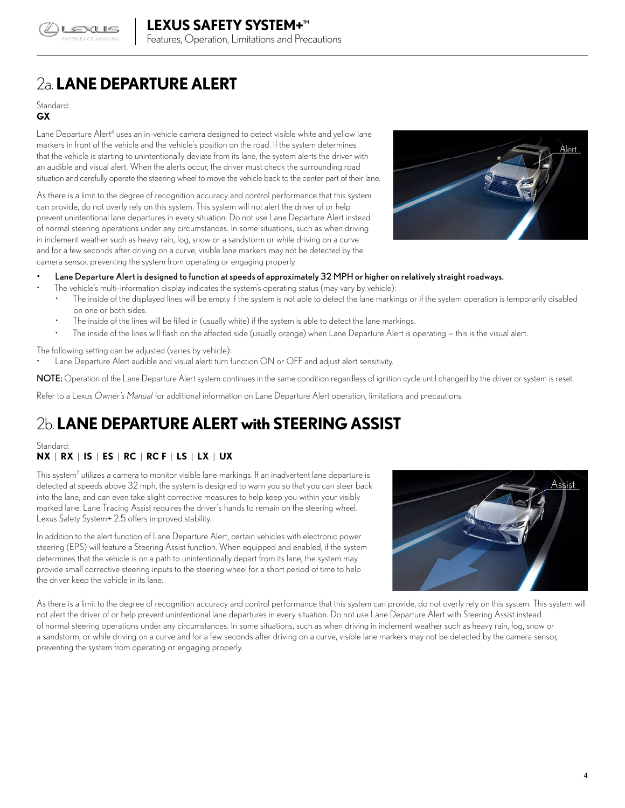

# 2a. **LANE DEPARTURE ALERT**

## Standard:

## **GX**

Lane Departure Alert<sup>4</sup> uses an in-vehicle camera designed to detect visible white and yellow lane markers in front of the vehicle and the vehicle's position on the road. If the system determines that the vehicle is starting to unintentionally deviate from its lane, the system alerts the driver with an audible and visual alert. When the alerts occur, the driver must check the surrounding road situation and carefully operate the steering wheel to move the vehicle back to the center part of their lane.

As there is a limit to the degree of recognition accuracy and control performance that this system can provide, do not overly rely on this system. This system will not alert the driver of or help prevent unintentional lane departures in every situation. Do not use Lane Departure Alert instead of normal steering operations under any circumstances. In some situations, such as when driving in inclement weather such as heavy rain, fog, snow or a sandstorm or while driving on a curve and for a few seconds after driving on a curve, visible lane markers may not be detected by the camera sensor, preventing the system from operating or engaging properly.



### • Lane Departure Alert is designed to function at speeds of approximately 32 MPH or higher on relatively straight roadways.

• The vehicle's multi-information display indicates the system's operating status (may vary by vehicle):

- The inside of the displayed lines will be empty if the system is not able to detect the lane markings or if the system operation is temporarily disabled on one or both sides.
- The inside of the lines will be filled in (usually white) if the system is able to detect the lane markings.
- The inside of the lines will flash on the affected side (usually orange) when Lane Departure Alert is operating this is the visual alert.

The following setting can be adjusted (varies by vehicle):

• Lane Departure Alert audible and visual alert: turn function ON or OFF and adjust alert sensitivity.

NOTE: Operation of the Lane Departure Alert system continues in the same condition regardless of ignition cycle until changed by the driver or system is reset.

Refer to a Lexus *Owner's Manual* for additional information on Lane Departure Alert operation, limitations and precautions.

# 2b. **LANE DEPARTURE ALERT with STEERING ASSIST**

## Standard:

## **NX** | **RX** | **IS** | **ES** | **RC** | **RC F** | **LS** | **LX** | **UX**

This system7 utilizes a camera to monitor visible lane markings. If an inadvertent lane departure is detected at speeds above 32 mph, the system is designed to warn you so that you can steer back into the lane, and can even take slight corrective measures to help keep you within your visibly marked lane. Lane Tracing Assist requires the driver's hands to remain on the steering wheel. Lexus Safety System+ 2.5 offers improved stability.

In addition to the alert function of Lane Departure Alert, certain vehicles with electronic power steering (EPS) will feature a Steering Assist function. When equipped and enabled, if the system determines that the vehicle is on a path to unintentionally depart from its lane, the system may provide small corrective steering inputs to the steering wheel for a short period of time to help the driver keep the vehicle in its lane.



As there is a limit to the degree of recognition accuracy and control performance that this system can provide, do not overly rely on this system. This system will not alert the driver of or help prevent unintentional lane departures in every situation. Do not use Lane Departure Alert with Steering Assist instead of normal steering operations under any circumstances. In some situations, such as when driving in inclement weather such as heavy rain, fog, snow or a sandstorm, or while driving on a curve and for a few seconds after driving on a curve, visible lane markers may not be detected by the camera sensor, preventing the system from operating or engaging properly.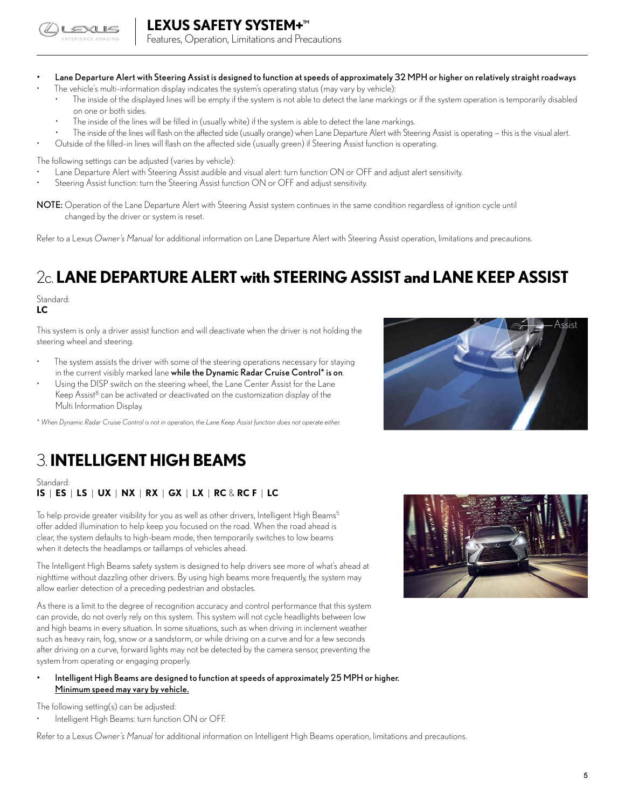

## **LEXUS SAFETY SYSTEM+™**

Features, Operation, Limitations and Precautions

- Lane Departure Alert with Steering Assist is designed to function at speeds of approximately 32 MPH or higher on relatively straight roadways
	- The vehicle's multi-information display indicates the system's operating status (may vary by vehicle):
		- The inside of the displayed lines will be empty if the system is not able to detect the lane markings or if the system operation is temporarily disabled on one or both sides.
		- The inside of the lines will be filled in (usually white) if the system is able to detect the lane markings.
	- The inside of the lines will flash on the affected side (usually orange) when Lane Departure Alert with Steering Assist is operating this is the visual alert. • Outside of the filled-in lines will flash on the affected side (usually green) if Steering Assist function is operating.
- 

The following settings can be adjusted (varies by vehicle):

- Lane Departure Alert with Steering Assist audible and visual alert: turn function ON or OFF and adjust alert sensitivity.
- Steering Assist function: turn the Steering Assist function ON or OFF and adjust sensitivity.
- NOTE: Operation of the Lane Departure Alert with Steering Assist system continues in the same condition regardless of ignition cycle until changed by the driver or system is reset.

Refer to a Lexus *Owner's Manual* for additional information on Lane Departure Alert with Steering Assist operation, limitations and precautions.

# 2c. **LANE DEPARTURE ALERT with STEERING ASSIST and LANE KEEP ASSIST**

#### Standard: **LC**

This system is only a driver assist function and will deactivate when the driver is not holding the steering wheel and steering.

- The system assists the driver with some of the steering operations necessary for staying in the current visibly marked lane while the Dynamic Radar Cruise Control\* is on.
- Using the DISP switch on the steering wheel, the Lane Center Assist for the Lane Keep Assist<sup>8</sup> can be activated or deactivated on the customization display of the Multi Information Display.

*\* When Dynamic Radar Cruise Control is not in operation, the Lane Keep Assist function does not operate either.*

# Assist

# 3. **INTELLIGENT HIGH BEAMS**

Standard: **IS** | **ES** | **LS** | **UX** | **NX** | **RX** | **GX** | **LX** | **RC** & **RC F** | **LC**

To help provide greater visibility for you as well as other drivers, Intelligent High Beams<sup>5</sup> offer added illumination to help keep you focused on the road. When the road ahead is clear, the system defaults to high-beam mode, then temporarily switches to low beams when it detects the headlamps or taillamps of vehicles ahead.

The Intelligent High Beams safety system is designed to help drivers see more of what's ahead at nighttime without dazzling other drivers. By using high beams more frequently, the system may allow earlier detection of a preceding pedestrian and obstacles.

As there is a limit to the degree of recognition accuracy and control performance that this system can provide, do not overly rely on this system. This system will not cycle headlights between low and high beams in every situation. In some situations, such as when driving in inclement weather such as heavy rain, fog, snow or a sandstorm, or while driving on a curve and for a few seconds after driving on a curve, forward lights may not be detected by the camera sensor, preventing the system from operating or engaging properly.

• Intelligent High Beams are designed to function at speeds of approximately 25 MPH or higher. Minimum speed may vary by vehicle.

The following setting(s) can be adjusted:

Intelligent High Beams: turn function ON or OFF.

Refer to a Lexus *Owner's Manual* for additional information on Intelligent High Beams operation, limitations and precautions.

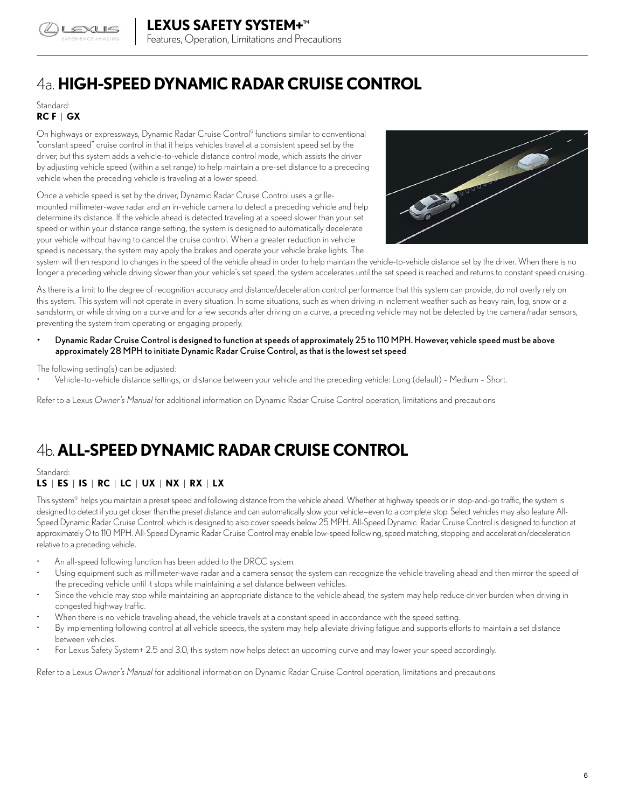

# 4a. **HIGH-SPEED DYNAMIC RADAR CRUISE CONTROL**

## Standard: **RC F** | **GX**

On highways or expressways, Dynamic Radar Cruise Control<sup>9</sup> functions similar to conventional "constant speed" cruise control in that it helps vehicles travel at a consistent speed set by the driver, but this system adds a vehicle-to-vehicle distance control mode, which assists the driver by adjusting vehicle speed (within a set range) to help maintain a pre-set distance to a preceding vehicle when the preceding vehicle is traveling at a lower speed.

Once a vehicle speed is set by the driver, Dynamic Radar Cruise Control uses a grillemounted millimeter-wave radar and an in-vehicle camera to detect a preceding vehicle and help determine its distance. If the vehicle ahead is detected traveling at a speed slower than your set speed or within your distance range setting, the system is designed to automatically decelerate your vehicle without having to cancel the cruise control. When a greater reduction in vehicle speed is necessary, the system may apply the brakes and operate your vehicle brake lights. The



system will then respond to changes in the speed of the vehicle ahead in order to help maintain the vehicle-to-vehicle distance set by the driver. When there is no longer a preceding vehicle driving slower than your vehicle's set speed, the system accelerates until the set speed is reached and returns to constant speed cruising.

As there is a limit to the degree of recognition accuracy and distance/deceleration control performance that this system can provide, do not overly rely on this system. This system will not operate in every situation. In some situations, such as when driving in inclement weather such as heavy rain, fog, snow or a sandstorm, or while driving on a curve and for a few seconds after driving on a curve, a preceding vehicle may not be detected by the camera/radar sensors, preventing the system from operating or engaging properly.

• Dynamic Radar Cruise Control is designed to function at speeds of approximately 25 to 110 MPH. However, vehicle speed must be above approximately 28 MPH to initiate Dynamic Radar Cruise Control, as that is the lowest set speed.

#### The following setting(s) can be adjusted:

• Vehicle-to-vehicle distance settings, or distance between your vehicle and the preceding vehicle: Long (default) – Medium – Short.

Refer to a Lexus *Owner's Manual* for additional information on Dynamic Radar Cruise Control operation, limitations and precautions.

# 4b. **ALL-SPEED DYNAMIC RADAR CRUISE CONTROL**

Standard:

## **LS** | **ES** | **IS** | **RC** | **LC** | **UX** | **NX** | **RX** | **LX**

This system<sup>9</sup> helps you maintain a preset speed and following distance from the vehicle ahead. Whether at highway speeds or in stop-and-go traffic, the system is designed to detect if you get closer than the preset distance and can automatically slow your vehicle—even to a complete stop. Select vehicles may also feature All-Speed Dynamic Radar Cruise Control, which is designed to also cover speeds below 25 MPH. All-Speed Dynamic Radar Cruise Control is designed to function at approximately 0 to 110 MPH. All-Speed Dynamic Radar Cruise Control may enable low-speed following, speed matching, stopping and acceleration/deceleration relative to a preceding vehicle.

- An all-speed following function has been added to the DRCC system.
- Using equipment such as millimeter-wave radar and a camera sensor, the system can recognize the vehicle traveling ahead and then mirror the speed of the preceding vehicle until it stops while maintaining a set distance between vehicles.
- Since the vehicle may stop while maintaining an appropriate distance to the vehicle ahead, the system may help reduce driver burden when driving in congested highway traffic.
- When there is no vehicle traveling ahead, the vehicle travels at a constant speed in accordance with the speed setting.
- By implementing following control at all vehicle speeds, the system may help alleviate driving fatigue and supports efforts to maintain a set distance between vehicles.
- For Lexus Safety System+ 2.5 and 3.0, this system now helps detect an upcoming curve and may lower your speed accordingly.

Refer to a Lexus *Owner's Manual* for additional information on Dynamic Radar Cruise Control operation, limitations and precautions.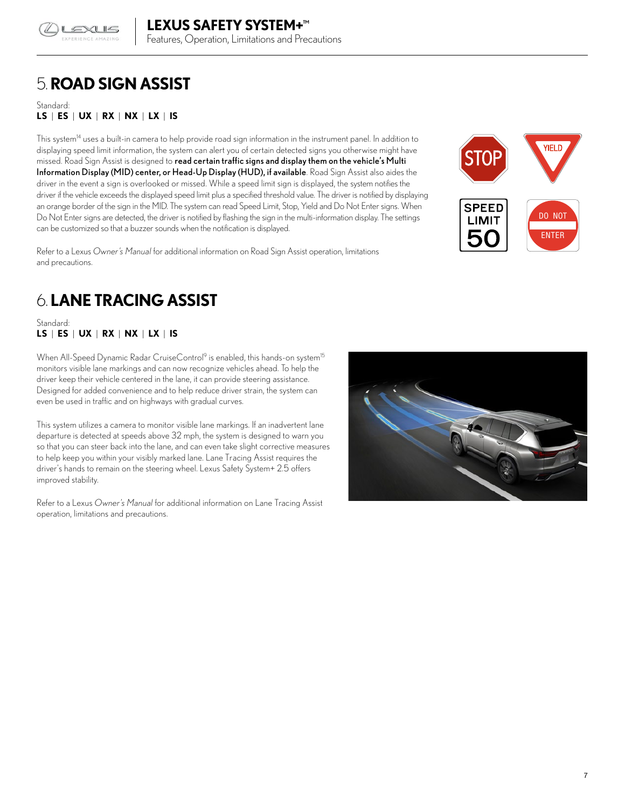

# 5. **ROAD SIGN ASSIST**

Standard: **LS** | **ES** | **UX** | **RX** | **NX** | **LX** | **IS**

This system<sup>14</sup> uses a built-in camera to help provide road sign information in the instrument panel. In addition to displaying speed limit information, the system can alert you of certain detected signs you otherwise might have missed. Road Sign Assist is designed to read certain traffic signs and display them on the vehicle's Multi Information Display (MID) center, or Head-Up Display (HUD), if available. Road Sign Assist also aides the driver in the event a sign is overlooked or missed. While a speed limit sign is displayed, the system notifies the driver if the vehicle exceeds the displayed speed limit plus a specified threshold value. The driver is notified by displaying an orange border of the sign in the MID. The system can read Speed Limit, Stop, Yield and Do Not Enter signs. When Do Not Enter signs are detected, the driver is notified by flashing the sign in the multi-information display. The settings can be customized so that a buzzer sounds when the notification is displayed.

Refer to a Lexus *Owner's Manual* for additional information on Road Sign Assist operation, limitations and precautions.



# 6. **LANE TRACING ASSIST**

Standard: **LS** | **ES** | **UX** | **RX** | **NX** | **LX** | **IS**

When All-Speed Dynamic Radar CruiseControl<sup>9</sup> is enabled, this hands-on system<sup>15</sup> monitors visible lane markings and can now recognize vehicles ahead. To help the driver keep their vehicle centered in the lane, it can provide steering assistance. Designed for added convenience and to help reduce driver strain, the system can even be used in traffic and on highways with gradual curves.

This system utilizes a camera to monitor visible lane markings. If an inadvertent lane departure is detected at speeds above 32 mph, the system is designed to warn you so that you can steer back into the lane, and can even take slight corrective measures to help keep you within your visibly marked lane. Lane Tracing Assist requires the driver's hands to remain on the steering wheel. Lexus Safety System+ 2.5 offers improved stability.

Refer to a Lexus *Owner's Manual* for additional information on Lane Tracing Assist operation, limitations and precautions.

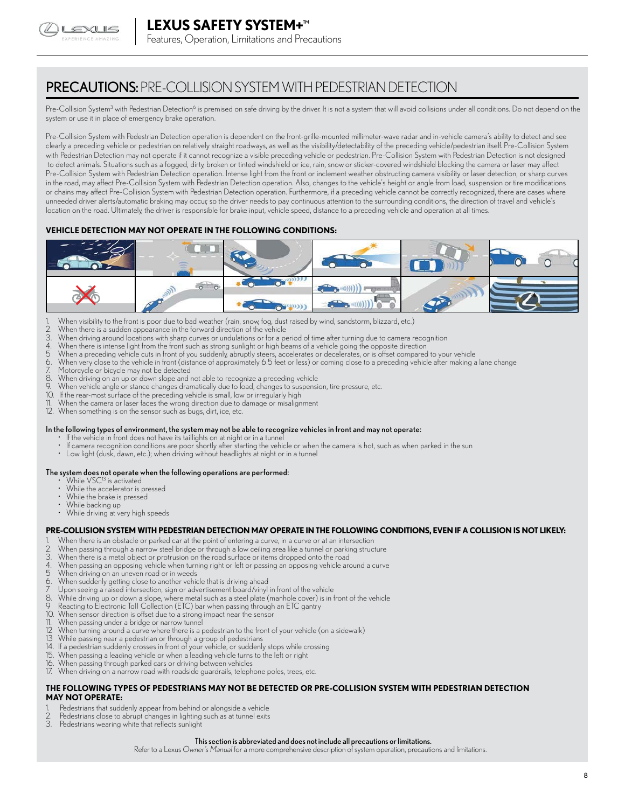

PRECAUTIONS: PRE-COLLISION SYSTEM WITH PEDESTRIAN DETECTION

Pre-Collision System<sup>3</sup> with Pedestrian Detection<sup>6</sup> is premised on safe driving by the driver. It is not a system that will avoid collisions under all conditions. Do not depend on the system or use it in place of emergency brake operation.

Pre-Collision System with Pedestrian Detection operation is dependent on the front-grille-mounted millimeter-wave radar and in-vehicle camera's ability to detect and see clearly a preceding vehicle or pedestrian on relatively straight roadways, as well as the visibility/detectability of the preceding vehicle/pedestrian itself. Pre-Collision System with Pedestrian Detection may not operate if it cannot recognize a visible preceding vehicle or pedestrian. Pre-Collision System with Pedestrian Detection is not designed to detect animals. Situations such as a fogged, dirty, broken or tinted windshield or ice, rain, snow or sticker-covered windshield blocking the camera or laser may affect Pre-Collision System with Pedestrian Detection operation. Intense light from the front or inclement weather obstructing camera visibility or laser detection, or sharp curves in the road, may affect Pre-Collision System with Pedestrian Detection operation. Also, changes to the vehicle's height or angle from load, suspension or tire modifications or chains may affect Pre-Collision System with Pedestrian Detection operation. Furthermore, if a preceding vehicle cannot be correctly recognized, there are cases where unneeded driver alerts/automatic braking may occur, so the driver needs to pay continuous attention to the surrounding conditions, the direction of travel and vehicle's location on the road. Ultimately, the driver is responsible for brake input, vehicle speed, distance to a preceding vehicle and operation at all times.

#### **VEHICLE DETECTION MAY NOT OPERATE IN THE FOLLOWING CONDITIONS:**



- 1. When visibility to the front is poor due to bad weather (rain, snow, fog, dust raised by wind, sandstorm, blizzard, etc.)<br>2. When there is a sudden annearance in the forward direction of the vehicle
- 2. When there is a sudden appearance in the forward direction of the vehicle
- 
- 3. When driving around locations with sharp curves or undulations or for a period of time after turning due to camera recognition<br>4. When there is intense light from the front such as strong sunlight or high beams of a veh When there is intense light from the front such as strong sunlight or high beams of a vehicle going the opposite direction
- 5 When a preceding vehicle cuts in front of you suddenly, abruptly steers, accelerates or decelerates, or is offset compared to your vehicle<br>6. When very close to the vehicle in front (distance of approximately 6.5 feet or
- When very close to the vehicle in front (distance of approximately 6.5 feet or less) or coming close to a preceding vehicle after making a lane change
- 7. Motorcycle or bicycle may not be detected
- 8. When driving on an up or down slope and not able to recognize a preceding vehicle When vehicle angle or stance changes dramatically due to load, changes to suspension, tire pressure, etc.
- 10. If the rear-most surface of the preceding vehicle is small, low or irregularly high<br>11. When the camera or laser faces the wrong direction due to damage or misaling
- When the camera or laser faces the wrong direction due to damage or misalignment
- 12. When something is on the sensor such as bugs, dirt, ice, etc.

#### In the following types of environment, the system may not be able to recognize vehicles in front and may not operate:

- If the vehicle in front does not have its taillights on at night or in a tunnel
- If camera recognition conditions are poor shortly after starting the vehicle or when the camera is hot, such as when parked in the sun
- Low light (dusk, dawn, etc.); when driving without headlights at night or in a tunnel

#### The system does not operate when the following operations are performed:

- While VSC<sup>13</sup> is activated
- While the accelerator is pressed
- While the brake is pressed
- While backing up
- While driving at very high speeds

#### **PRE-COLLISION SYSTEM WITH PEDESTRIAN DETECTION MAY OPERATE IN THE FOLLOWING CONDITIONS, EVEN IF A COLLISION IS NOT LIKELY:**

- When there is an obstacle or parked car at the point of entering a curve, in a curve or at an intersection
- When passing through a narrow steel bridge or through a low ceiling area like a tunnel or parking structure
- 
- 3. When there is a metal object or protrusion on the road surface or items dropped onto the road<br>4. When passing an opposing vehicle when turning right or left or passing an opposing vehicle are 4. When passing an opposing vehicle when turning right or left or passing an opposing vehicle around a curve
- 
- 5 When driving on an uneven road or in weeds<br>6. When suddenly getting close to another vehic<br>7 Upon seeing a raised intersection, sign or adv When suddenly getting close to another vehicle that is driving ahead
- 
- 7 Upon seeing a raised intersection, sign or advertisement board/vinyl in front of the vehicle<br>8. While driving up or down a slope, where metal such as a steel plate (manhole cover) is in t 8. While driving up or down a slope, where metal such as a steel plate (manhole cover) is in front of the vehicle
- 9 Reacting to Electronic Toll Collection (ETC) bar when passing through an ETC gantry<br>10. When sensor direction is offset due to a strong impact near the sensor
- 10. When sensor direction is offset due to a strong impact near the sensor<br>11. When passing under a bridge or narrow tunnel
- 11. When passing under a bridge or narrow tunnel<br>12 When turning around a curve where there is a p
- 12 When turning around a curve where there is a pedestrian to the front of your vehicle (on a sidewalk)<br>13 While passing near a pedestrian or through a group of pedestrians
- 13 While passing near a pedestrian or through a group of pedestrians<br>14. If a pedestrian suddenly crosses in front of your vehicle, or suddenly
- 14. If a pedestrian suddenly crosses in front of your vehicle, or suddenly stops while crossing<br>15. When passing a leading vehicle or when a leading vehicle turns to the left or right
- 15. When passing a leading vehicle or when a leading vehicle turns to the left or right
- 16. When passing through parked cars or driving between vehicles
- When driving on a narrow road with roadside guardrails, telephone poles, trees, etc.

#### **THE FOLLOWING TYPES OF PEDESTRIANS MAY NOT BE DETECTED OR PRE-COLLISION SYSTEM WITH PEDESTRIAN DETECTION MAY NOT OPERATE:**

- Pedestrians that suddenly appear from behind or alongside a vehicle
- 2. Pedestrians close to abrupt changes in lighting such as at tunnel exits
- Pedestrians wearing white that reflects sunlight

#### This section is abbreviated and does not include all precautions or limitations.

Refer to a Lexus *Owner's Manual* for a more comprehensive description of system operation, precautions and limitations.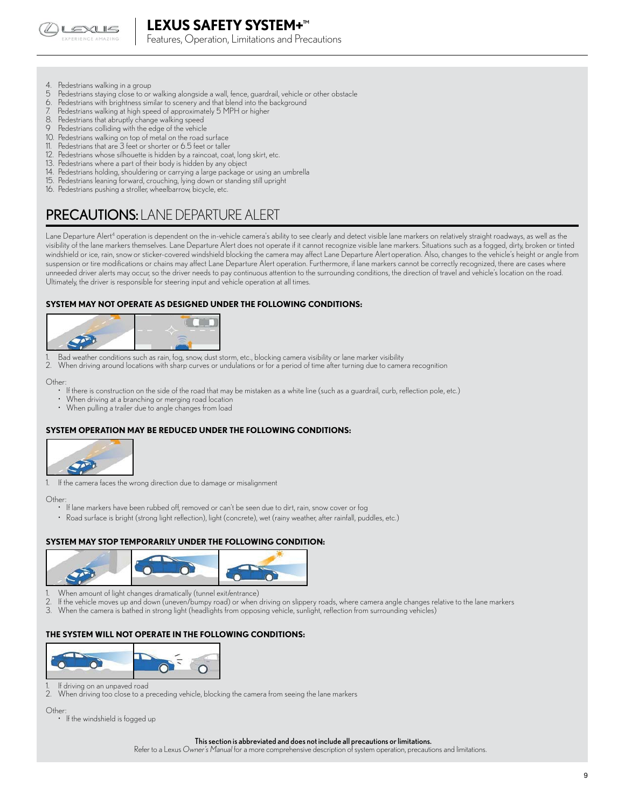

Features, Operation, Limitations and Precautions

- 4. Pedestrians walking in a group<br>5. Pedestrians staving close to or
- 5 Pedestrians staying close to or walking alongside a wall, fence, guardrail, vehicle or other obstacle<br>6. Pedestrians with brightness similar to scenery and that blend into the background
- Pedestrians with brightness similar to scenery and that blend into the background
- Pedestrians walking at high speed of approximately 5 MPH or higher
- 8. Pedestrians that abruptly change walking speed
- Pedestrians colliding with the edge of the vehicle
- 10. Pedestrians walking on top of metal on the road surface<br>11. Pedestrians that are 3 feet or shorter or 6.5 feet or taller
- Pedestrians that are 3 feet or shorter or 6.5 feet or taller
- 12. Pedestrians whose silhouette is hidden by a raincoat, coat, long skirt, etc.
- 13. Pedestrians where a part of their body is hidden by any object
- 14. Pedestrians holding, shouldering or carrying a large package or using an umbrella
- 15. Pedestrians leaning forward, crouching, lying down or standing still upright
- 16. Pedestrians pushing a stroller, wheelbarrow, bicycle, etc.

## PRECAUTIONS: LANE DEPARTURE ALERT

Lane Departure Alert<sup>4</sup> operation is dependent on the in-vehicle camera's ability to see clearly and detect visible lane markers on relatively straight roadways, as well as the visibility of the lane markers themselves. Lane Departure Alert does not operate if it cannot recognize visible lane markers. Situations such as a fogged, dirty, broken or tinted windshield or ice, rain, snow or sticker-covered windshield blocking the camera may affect Lane Departure Alert operation. Also, changes to the vehicle's height or angle from suspension or tire modifications or chains may affect Lane Departure Alert operation. Furthermore, if lane markers cannot be correctly recognized, there are cases where unneeded driver alerts may occur, so the driver needs to pay continuous attention to the surrounding conditions, the direction of travel and vehicle's location on the road. Ultimately, the driver is responsible for steering input and vehicle operation at all times.

#### **SYSTEM MAY NOT OPERATE AS DESIGNED UNDER THE FOLLOWING CONDITIONS:**



1. Bad weather conditions such as rain, fog, snow, dust storm, etc., blocking camera visibility or lane marker visibility<br>2. When driving around locations with sharp curves or undulations or for a period of time after turn

2. When driving around locations with sharp curves or undulations or for a period of time after turning due to camera recognition

Other:

- If there is construction on the side of the road that may be mistaken as a white line (such as a guardrail, curb, reflection pole, etc.)
- When driving at a branching or merging road location
- When pulling a trailer due to angle changes from load

#### **SYSTEM OPERATION MAY BE REDUCED UNDER THE FOLLOWING CONDITIONS:**



1. If the camera faces the wrong direction due to damage or misalignment

**Other** 

- If lane markers have been rubbed off, removed or can't be seen due to dirt, rain, snow cover or fog
- Road surface is bright (strong light reflection), light (concrete), wet (rainy weather, after rainfall, puddles, etc.)

#### **SYSTEM MAY STOP TEMPORARILY UNDER THE FOLLOWING CONDITION:**



- 1. When amount of light changes dramatically (tunnel exit/entrance)
- 2. If the vehicle moves up and down (uneven/bumpy road) or when driving on slippery roads, where camera angle changes relative to the lane markers
- 3. When the camera is bathed in strong light (headlights from opposing vehicle, sunlight, reflection from surrounding vehicles)

#### **THE SYSTEM WILL NOT OPERATE IN THE FOLLOWING CONDITIONS:**



1. If driving on an unpaved road<br>2 When driving too close to a p

When driving too close to a preceding vehicle, blocking the camera from seeing the lane markers

Other:

• If the windshield is fogged up

#### This section is abbreviated and does not include all precautions or limitations.

Refer to a Lexus *Owner's Manual* for a more comprehensive description of system operation, precautions and limitations.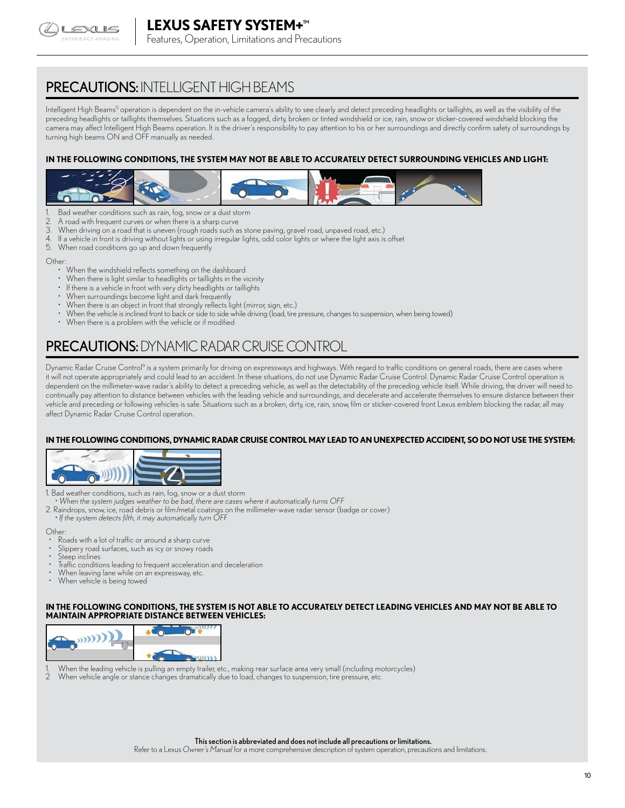

## PRECAUTIONS: INTELLIGENT HIGH BEAMS

Intelligent High Beams<sup>5</sup> operation is dependent on the in-vehicle camera's ability to see clearly and detect preceding headlights or taillights, as well as the visibility of the preceding headlights or taillights themselves. Situations such as a fogged, dirty, broken or tinted windshield or ice, rain, snow or sticker-covered windshield blocking the camera may affect Intelligent High Beams operation. It is the driver's responsibility to pay attention to his or her surroundings and directly confirm safety of surroundings by turning high beams ON and OFF manually as needed.

#### **IN THE FOLLOWING CONDITIONS, THE SYSTEM MAY NOT BE ABLE TO ACCURATELY DETECT SURROUNDING VEHICLES AND LIGHT:**



- Bad weather conditions such as rain, fog, snow or a dust storm
- 2. A road with frequent curves or when there is a sharp curve
- 3. When driving on a road that is uneven (rough roads such as stone paving, gravel road, unpaved road, etc.)
- 4. If a vehicle in front is driving without lights or using irregular lights, odd color lights or where the light axis is offset
- When road conditions go up and down frequently

Other:

- When the windshield reflects something on the dashboard
- When there is light similar to headlights or taillights in the vicinity
- If there is a vehicle in front with very dirty headlights or taillights
- When surroundings become light and dark frequently
- When there is an object in front that strongly reflects light (mirror, sign, etc.)
- When the vehicle is inclined front to back or side to side while driving (load, tire pressure, changes to suspension, when being towed)
- When there is a problem with the vehicle or if modified

## PRECAUTIONS:DYNAMIC RADAR CRUISE CONTROL

Dynamic Radar Cruise Control<sup>9</sup> is a system primarily for driving on expressways and highways. With regard to traffic conditions on general roads, there are cases where it will not operate appropriately and could lead to an accident. In these situations, do not use Dynamic Radar Cruise Control. Dynamic Radar Cruise Control operation is dependent on the millimeter-wave radar's ability to detect a preceding vehicle, as well as the detectability of the preceding vehicle itself. While driving, the driver will need to continually pay attention to distance between vehicles with the leading vehicle and surroundings, and decelerate and accelerate themselves to ensure distance between their vehicle and preceding or following vehicles is safe. Situations such as a broken, dirty, ice, rain, snow, film or sticker-covered front Lexus emblem blocking the radar, all may affect Dynamic Radar Cruise Control operation.

#### **IN THE FOLLOWING CONDITIONS, DYNAMIC RADAR CRUISE CONTROL MAY LEAD TO AN UNEXPECTED ACCIDENT, SO DO NOT USE THE SYSTEM:**



1. Bad weather conditions, such as rain, fog, snow or a dust storm

- *When the system judges weather to be bad, there are cases where it automatically turns OFF*
- 2. Raindrops, snow, ice, road debris or film/metal coatings on the millimeter-wave radar sensor (badge or cover)
- *If the system detects filth, it may automatically turn OFF*

Other:

- Roads with a lot of traffic or around a sharp curve
- Slippery road surfaces, such as icy or snowy roads
- Steep inclines
- Traffic conditions leading to frequent acceleration and deceleration
- When leaving lane while on an expressway, etc.
- When vehicle is being towed

#### **IN THE FOLLOWING CONDITIONS, THE SYSTEM IS NOT ABLE TO ACCURATELY DETECT LEADING VEHICLES AND MAY NOT BE ABLE TO MAINTAIN APPROPRIATE DISTANCE BETWEEN VEHICLES:**



- 1. When the leading vehicle is pulling an empty trailer, etc., making rear surface area very small (including motorcycles)
- When vehicle angle or stance changes dramatically due to load, changes to suspension, tire pressure, etc.

Refer to a Lexus *Owner's Manual* for a more comprehensive description of system operation, precautions and limitations.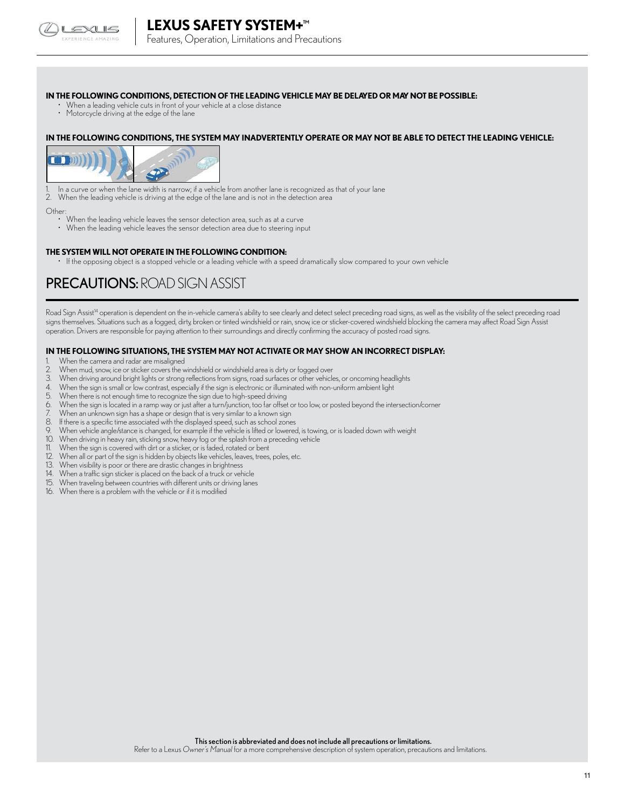

Features, Operation, Limitations and Precautions

#### **IN THE FOLLOWING CONDITIONS, DETECTION OF THE LEADING VEHICLE MAY BE DELAYED OR MAY NOT BE POSSIBLE:**

- When a leading vehicle cuts in front of your vehicle at a close distance
- Motorcycle driving at the edge of the lane

#### **IN THE FOLLOWING CONDITIONS, THE SYSTEM MAY INADVERTENTLY OPERATE OR MAY NOT BE ABLE TO DETECT THE LEADING VEHICLE:**



1. In a curve or when the lane width is narrow; if a vehicle from another lane is recognized as that of your lane 2. When the leading vehicle is driving at the edge of the lane and is not in the detection area

- Other: • When the leading vehicle leaves the sensor detection area, such as at a curve
	- When the leading vehicle leaves the sensor detection area due to steering input

#### **THE SYSTEM WILL NOT OPERATE IN THE FOLLOWING CONDITION:**

• If the opposing object is a stopped vehicle or a leading vehicle with a speed dramatically slow compared to your own vehicle

## PRECAUTIONS: ROAD SIGN ASSIST

Road Sign Assist<sup>14</sup> operation is dependent on the in-vehicle camera's ability to see clearly and detect select preceding road signs, as well as the visibility of the select preceding road signs themselves. Situations such as a fogged, dirty, broken or tinted windshield or rain, snow, ice or sticker-covered windshield blocking the camera may affect Road Sign Assist operation. Drivers are responsible for paying attention to their surroundings and directly confirming the accuracy of posted road signs.

#### **IN THE FOLLOWING SITUATIONS, THE SYSTEM MAY NOT ACTIVATE OR MAY SHOW AN INCORRECT DISPLAY:**

- 1. When the camera and radar are misaligned<br>2. When mud. snow. ice or sticker covers the w
- When mud, snow, ice or sticker covers the windshield or windshield area is dirty or fogged over
- 3. When driving around bright lights or strong reflections from signs, road surfaces or other vehicles, or oncoming headlights
- 4. When the sign is small or low contrast, especially if the sign is electronic or illuminated with non-uniform ambient light
- 5. When there is not enough time to recognize the sign due to high-speed driving<br>6. When the sign is located in a ramp way or just after a turn/junction, too far offset
- When the sign is located in a ramp way or just after a turn/junction, too far offset or too low, or posted beyond the intersection/corner
- When an unknown sign has a shape or design that is very similar to a known sign
- 8. If there is a specific time associated with the displayed speed, such as school zones<br>9. When vehicle angle (stance is changed for example if the vehicle is litted or lowered
- When vehicle angle/stance is changed, for example if the vehicle is lifted or lowered, is towing, or is loaded down with weight
- 10. When driving in heavy rain, sticking snow, heavy fog or the splash from a preceding vehicle
- 11. When the sign is covered with dirt or a sticker, or is faded, rotated or bent<br>12. When all or part of the sign is bidden by objects like vehicles leaves trees
- 12. When all or part of the sign is hidden by objects like vehicles, leaves, trees, poles, etc.<br>13. When visibility is poor or there are drastic changes in brightness
- When visibility is poor or there are drastic changes in brightness
- 14. When a traffic sign sticker is placed on the back of a truck or vehicle
- 15. When traveling between countries with different units or driving lanes
- 16. When there is a problem with the vehicle or if it is modified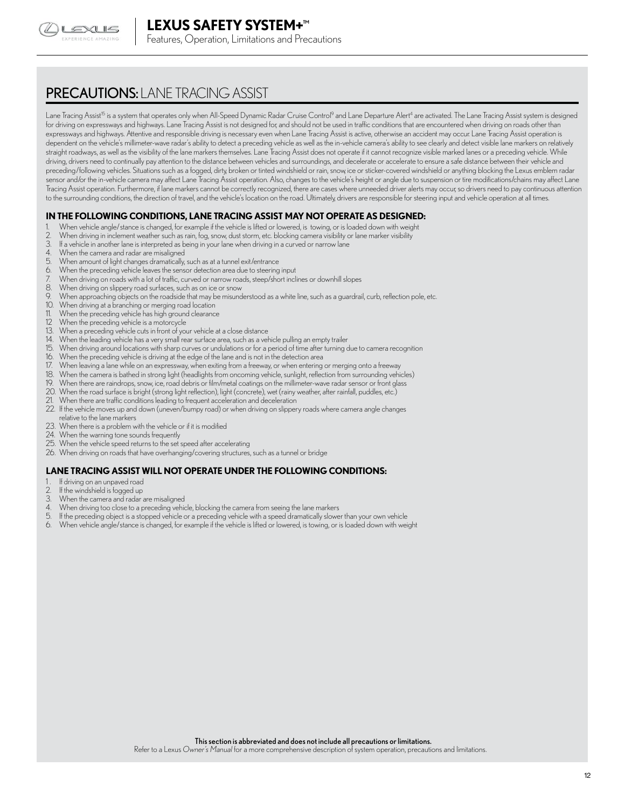

## PRECAUTIONS: LANE TRACING ASSIST

Lane Tracing Assist<sup>i5</sup> is a system that operates only when All-Speed Dynamic Radar Cruise Control<sup>9</sup> and Lane Departure Alert<sup>4</sup> are activated. The Lane Tracing Assist system is designed for driving on expressways and highways. Lane Tracing Assist is not designed for, and should not be used in traffic conditions that are encountered when driving on roads other than expressways and highways. Attentive and responsible driving is necessary even when Lane Tracing Assist is active, otherwise an accident may occur. Lane Tracing Assist operation is dependent on the vehicle's millimeter-wave radar's ability to detect a preceding vehicle as well as the in-vehicle camera's ability to see clearly and detect visible lane markers on relatively straight roadways, as well as the visibility of the lane markers themselves. Lane Tracing Assist does not operate if it cannot recognize visible marked lanes or a preceding vehicle. While driving, drivers need to continually pay attention to the distance between vehicles and surroundings, and decelerate or accelerate to ensure a safe distance between their vehicle and preceding/following vehicles. Situations such as a fogged, dirty, broken or tinted windshield or rain, snow, ice or sticker-covered windshield or anything blocking the Lexus emblem radar sensor and/or the in-vehicle camera may affect Lane Tracing Assist operation. Also, changes to the vehicle's height or angle due to suspension or tire modifications/chains may affect Lane Tracing Assist operation. Furthermore, if lane markers cannot be correctly recognized, there are cases where unneeded driver alerts may occur, so drivers need to pay continuous attention to the surrounding conditions, the direction of travel, and the vehicle's location on the road. Ultimately, drivers are responsible for steering input and vehicle operation at all times.

#### **IN THE FOLLOWING CONDITIONS, LANE TRACING ASSIST MAY NOT OPERATE AS DESIGNED:**

- 1. When vehicle angle/stance is changed, for example if the vehicle is lifted or lowered, is towing, or is loaded down with weight<br>2. When driving in inclement weather such as rain, fog, snow, dust storm, etc. blocking cam
- When driving in inclement weather such as rain, fog, snow, dust storm, etc. blocking camera visibility or lane marker visibility
- 3. If a vehicle in another lane is interpreted as being in your lane when driving in a curved or narrow lane<br>4. When the camera and radar are misalinned
- 4. When the camera and radar are misaligned<br>5. When amount of light changes dramatically
- 5. When amount of light changes dramatically, such as at a tunnel exit/entrance<br>6. When the preceding vehicle leaves the sensor detection area due to steering
- When the preceding vehicle leaves the sensor detection area due to steering input
- 7. When driving on roads with a lot of traffic, curved or narrow roads, steep/short inclines or downhill slopes
- 8. When driving on slippery road surfaces, such as on ice or snow
- 9. When approaching objects on the roadside that may be misunderstood as a white line, such as a guardrail, curb, reflection pole, etc.<br>10. When driving at a branching or merging road location
- When driving at a branching or merging road location
- 11. When the preceding vehicle has high ground clearance
- 12 When the preceding vehicle is a motorcycle<br>13. When a preceding vehicle cuts in front of you
- 13. When a preceding vehicle cuts in front of your vehicle at a close distance<br>14. When the leading vehicle has a very small rear surface area, such as a veh
- 14. When the leading vehicle has a very small rear surface area, such as a vehicle pulling an empty trailer<br>15 When driving around locations with sharp curves or undulations or for a period of time after turning c
- When driving around locations with sharp curves or undulations or for a period of time after turning due to camera recognition
- 16. When the preceding vehicle is driving at the edge of the lane and is not in the detection area
- 17. When leaving a lane while on an expressway, when exiting from a freeway, or when entering or merging onto a freeway<br>18. When the camera is bathed in strong light (headlights from oncoming vehicle, sunlight, reflection
- 18. When the camera is bathed in strong light (headlights from oncoming vehicle, sunlight, reflection from surrounding vehicles)<br>19. When there are raindrons, snow ice, road debris or film/metal coatings on the millimeter-
- 19. When there are raindrops, snow, ice, road debris or film/metal coatings on the millimeter-wave radar sensor or front glass
- 20. When the road surface is bright (strong light reflection), light (concrete), wet (rainy weather, after rainfall, puddles, etc.)
- 21. When there are traffic conditions leading to frequent acceleration and deceleration<br>22. If the vehicle moves up and down (upeven/bumpy road) or when driving on slipper
- 22. If the vehicle moves up and down (uneven/bumpy road) or when driving on slippery roads where camera angle changes relative to the lane markers
- 23. When there is a problem with the vehicle or if it is modified<br>24 When the warning tone sounds frequently
- When the warning tone sounds frequently
- 25. When the vehicle speed returns to the set speed after accelerating
- 26. When driving on roads that have overhanging/covering structures, such as a tunnel or bridge

#### **LANE TRACING ASSIST WILL NOT OPERATE UNDER THE FOLLOWING CONDITIONS:**

- 1. If driving on an unpaved road<br>2. If the windshield is fogged un
- 2. If the windshield is fogged up<br>3. When the camera and radar
- When the camera and radar are misaligned
- 4. When driving too close to a preceding vehicle, blocking the camera from seeing the lane markers<br>5. If the preceding chiect is a stopped vehicle or a preceding vehicle with a speed dramatically slower
- If the preceding object is a stopped vehicle or a preceding vehicle with a speed dramatically slower than your own vehicle
- 6. When vehicle angle/stance is changed, for example if the vehicle is lifted or lowered, is towing, or is loaded down with weight